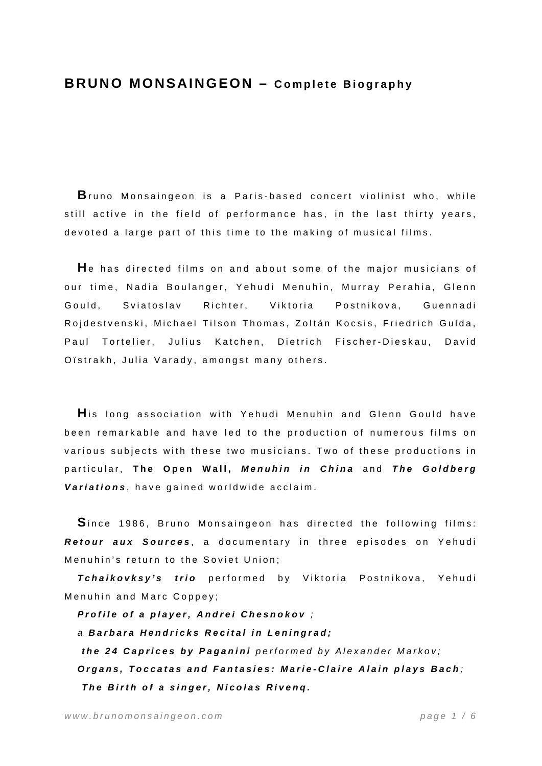## **BRUNO MONSAINGEON – Complete Biography**

**B**runo Monsaingeon is a Paris-based c oncert violinist who, while still active in the field of performance has, in the last thirty years, devoted a large part of this time to the making of musical films.

**H**e has directed films on and about some of the major musicians of our time, Nadia Boulanger, Yehudi Menuhin, Murray Perahia, Glenn Gould, Sviatoslav Richter, Viktoria Postnikova, Guennadi Rojdestvenski, Michael Tilson Thomas, Zoltán Kocsis, Friedrich Gulda, Paul Tortelier, Julius Katchen, Dietrich Fischer-Dieskau, David Oïstrakh, Julia Varady, amongst many others.

**H**is long association with Yehudi Menuhin and Glenn Gould have been remarkable and have led to the production of numerous films on various subjects with these two musicians. Two of these productions in particular, **The Open Wall,** *Menuhin in China* and *The Goldberg Variations* , have gained worldwide acclaim.

**S**ince 1986, Bruno Monsaingeon has directed the following films: *Retour aux Sources* , a documentary in three episodes on Yehudi Menuhin's return to the Soviet Union;

*Tchaikovksy's trio* performed by Viktoria Postnikova, Yehudi Menuhin and Marc Coppey;

*Profile of a player, Andrei Chesnokov ;* 

*a Barbara Hendricks Recital in Leningrad;* 

 *the 24 Caprices by Paganini performed by Alexander Markov;* 

*Organs, Toccatas and Fantasies: Marie-Claire Alain plays Bach ; The Birth of a singer, Nicolas Rivenq.*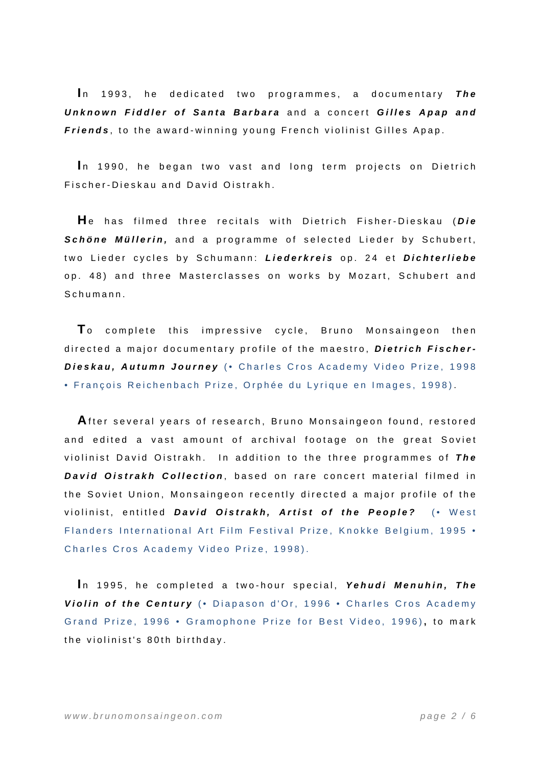In 1993, he dedicated two programmes, a documentary The *Unknown Fiddler of Santa Barbara* and a concert *Gilles Apap and Friends* , to the award-winning young French violinist Gilles Apap.

In 1990, he began two vast and long term projects on Dietrich Fischer-Dieskau and David Oistrakh.

**H**e has filmed three recitals with Dietrich Fisher-Dieskau ( *Die Schöne Müllerin,* and a programme of selected Lieder by Schubert, two Lieder cycles by Schumann: *Liederkreis* op. 24 et *Dichterliebe* op. 48) and three Masterclasses on works by Mozart, Schubert and Schumann.

**T**o complete this impressive cycle, Bruno Monsaingeon then directed a major documentary profile of the maestro, *Dietrich Fischer-Dieskau, Autumn Journey* (• Charles Cros Academy Video Prize, 1998 • François Reichenbach Prize, Orphée du Lyrique en Images, 1998) .

**A**fter several years of research, Bruno Monsaingeon found, restored and edited a vast amount of archival footage on the great Soviet violinist David Oistrakh. In addition to the three programmes of *The*  David Oistrakh Collection, based on rare concert material filmed in the Soviet Union, Monsaingeon recently directed a major profile of the violinist, entitled *David Oistrakh, Artist of the People?* (• West Flanders International Art Film Festival Prize, Knokke Belgium, 1995 • Charles Cros Academy Video Prize, 1998).

In 1995, he completed a two-hour special, Yehudi Menuhin, The *Violin of the Century* (• Diapason d'Or, 1996 • Charles Cros Academy Grand Prize, 1996 • Gramophone Prize for Best Video, 1996) **,** to mark the violinist's 80th birthday.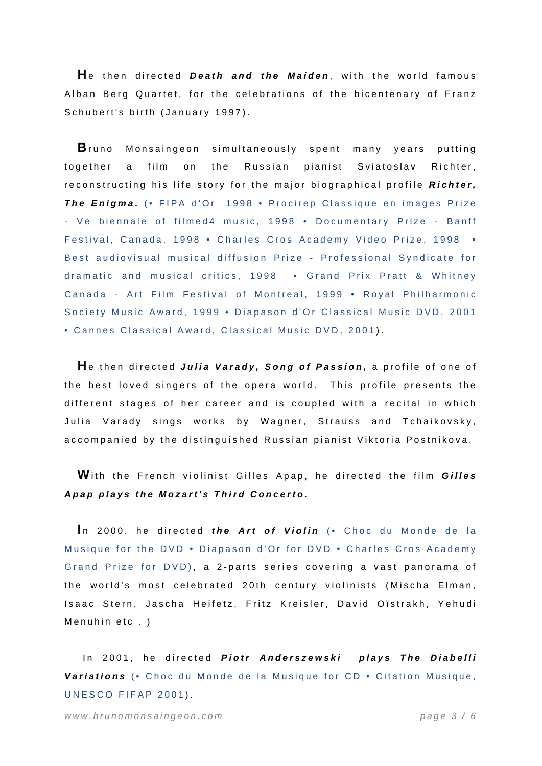**H**e then directed *Death and the Maiden* , with the world famous Alban Berg Quartet, for the celebrations of the bicentenary of Franz Schubert's birth (January 1997).

**B**runo Monsaingeon simultaneously spent many years putting together a film on the Russian pianist Sviatoslav Richter, reconstructing his life story for the major biographical profile *Richter, The Enigma* **.** (• FIPA d'Or 1998 • Procirep Classique en images Prize - Ve biennale of filmed4 music, 1998 • Documentary Prize - Banff Festival, Canada, 1998 • Charles Cros Academy Video Prize, 1998 • Best audiovisual musical diffusion Prize - Professional Syndicate for dramatic and musical critics, 1998 • Grand Prix Pratt & Whitney Canada - Art Film Festival of Montreal, 1999 • Royal Philharmonic Society Music Award, 1999 • Diapason d'Or Classical Music DVD, 2001 • Cannes Classical Award, Classical Music DVD, 2001 ).

**H**e then directed *Julia Varady, Song of Passion,* a profile of one of the best loved singers of the opera world. This profile presents the different stages of her career and is coupled with a recital in which Julia Varady sings works by Wagner, Strauss and Tchaikovsky, accompanied by the distinguished Russian pianist Viktoria Postnikova.

**W**ith the French violinist Gilles Apap, he directed the film *Gilles Apap plays the Mozart's Third Concerto.* 

In 2000, he directed *the Art of Violin* (• Choc du Monde de la Musique for the DVD • Diapason d'Or for DVD • Charles Cros Academy Grand Prize for DVD) , a 2-parts series covering a vast panorama of the world's most celebrated 20th century violinists (Mischa Elman, Isaac Stern, Jascha Heifetz, Fritz Kreisler, David Oïstrakh, Yehudi Menuhin etc . )

In 2001, he directed *Piotr Anderszewski plays The Diabelli Variations* (• Choc du Monde de la Musique for CD • Citation Musique, UNESCO FIFAP 2001).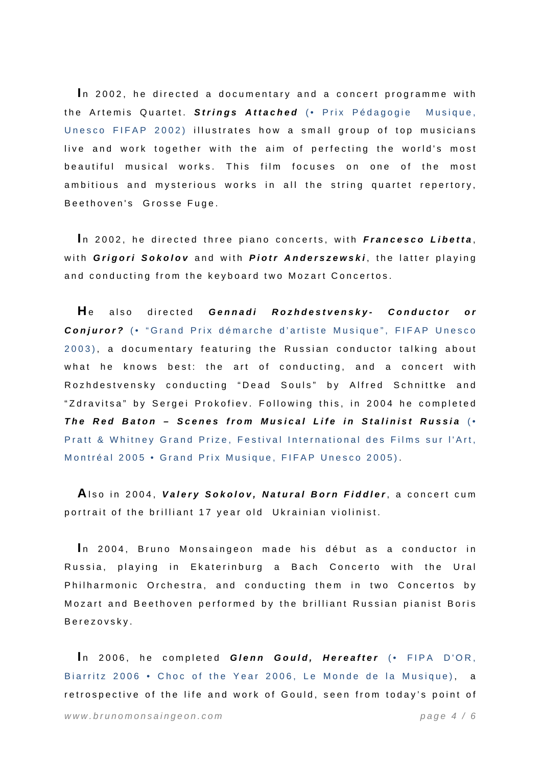In 2002, he directed a documentary and a concert programme with the Artemis Quartet. *Strings Attached* (• Prix Pédagogie Musique, Unesco FIFAP 2002) illustrates how a small group of top musicians live and work together with the aim of perfecting the world's most beautiful musical works. This film focuses on one of the most ambitious and mysterious works in all the string quartet repertory, Beethoven's Grosse Fuge.

In 2002, he directed three piano concerts, with *Francesco Libetta*, with *Grigori Sokolov* and with *Piotr Anderszewski* , the latter playing and conducting from the keyboard two Mozart Concertos.

**H**e also directed *Gennadi Rozhdestvensky- Conductor or Conjuror?* (• "Grand Prix démarche d'artiste Musique", FIFAP Unesco 2003), a documentary featuring the Russian conductor talking about what he knows best: the art of conducting, and a concert with Rozhdestvensky conducting "Dead Souls" by Alfred Schnittke and "Zdravitsa" by Sergei Prokofiev. Following this, in 2004 he completed *The Red Baton – Scenes from Musical Life in Stalinist Russia* (• Pratt & Whitney Grand Prize, Festival International des Films sur l'Art, Montréal 2005 • Grand Prix Musique, FIFAP Unesco 2005) .

**A**lso in 2004, *Valery Sokolov, Natural Born Fiddler* , a concert cum portrait of the brilliant 17 year old Ukrainian violinist.

In 2004, Bruno Monsaingeon made his début as a conductor in Russia, playing in Ekaterinburg a Bach Concerto with the Ural Philharmonic Orchestra, and conducting them in two Concertos by Mozart and Beethoven performed by the brilliant Russian pianist Boris Berezovsky.

*www.brunomonsaingeon.com page 4 / 6*  In 2006, he completed *Glenn Gould, Hereafter* (• FIPA D'OR, Biarritz 2006 • Choc of the Year 2006, Le Monde de la Musique), a retrospective of the life and work of Gould, seen from today's point of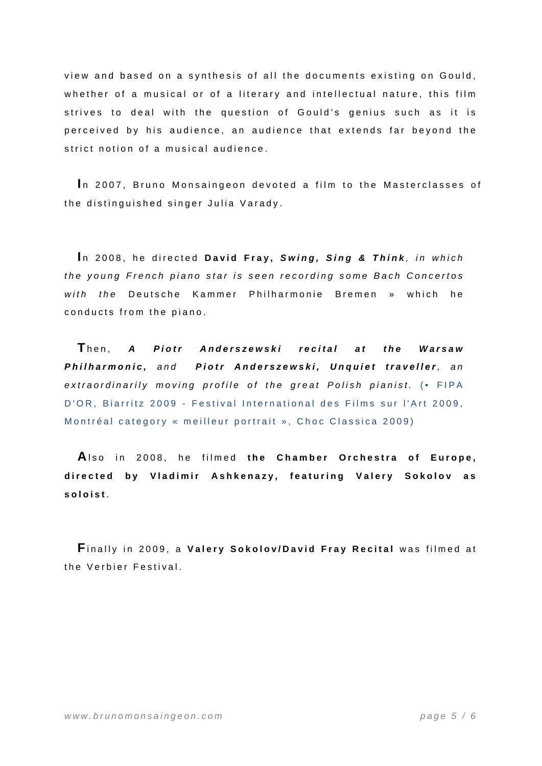view and based on a synthesis of all the documents existing on Gould, whether of a musical or of a literary and intellectual nature, this film strives to deal with the question of Gould's genius such as it is perceived by his audience, an audience that extends far beyond the strict notion of a musical audience.

In 2007, Bruno Monsaingeon devoted a film to the Masterclasses of the distinguished singer Julia Varady.

In 2008, he directed David Fray, Swing, Sing & Think, in which *the young French piano star is seen recording some Bach Concertos with the* Deutsche Kammer Philharmonie Bremen » which he conducts from the piano.

**T**hen, *A Piotr Anderszewski recital at the Warsaw Philharmonic, and Piotr Anderszewski, Unquiet traveller, an extraordinarily moving profile of the great Polish pianist.* (• FIPA D'OR, Biarritz 2009 - Festival International des Films sur l'Art 2009, Montréal category « meilleur portrait », Choc Classica 2009)

**A**lso in 2008, he filmed **the Chamber Orchestra of Europe, directed by Vladimir Ashkenazy, featuring Valery Sokolov as soloist** .

**F**inally in 2009, a **Valery Sokolov/David Fray Recital** was filmed at the Verbier Festival.